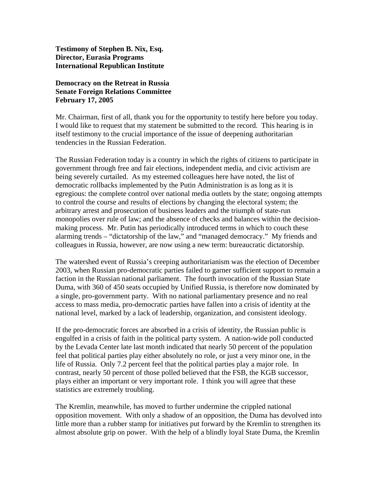**Testimony of Stephen B. Nix, Esq. Director, Eurasia Programs International Republican Institute** 

## **Democracy on the Retreat in Russia Senate Foreign Relations Committee February 17, 2005**

Mr. Chairman, first of all, thank you for the opportunity to testify here before you today. I would like to request that my statement be submitted to the record. This hearing is in itself testimony to the crucial importance of the issue of deepening authoritarian tendencies in the Russian Federation.

The Russian Federation today is a country in which the rights of citizens to participate in government through free and fair elections, independent media, and civic activism are being severely curtailed. As my esteemed colleagues here have noted, the list of democratic rollbacks implemented by the Putin Administration is as long as it is egregious: the complete control over national media outlets by the state; ongoing attempts to control the course and results of elections by changing the electoral system; the arbitrary arrest and prosecution of business leaders and the triumph of state-run monopolies over rule of law; and the absence of checks and balances within the decisionmaking process. Mr. Putin has periodically introduced terms in which to couch these alarming trends – "dictatorship of the law," and "managed democracy." My friends and colleagues in Russia, however, are now using a new term: bureaucratic dictatorship.

The watershed event of Russia's creeping authoritarianism was the election of December 2003, when Russian pro-democratic parties failed to garner sufficient support to remain a faction in the Russian national parliament. The fourth invocation of the Russian State Duma, with 360 of 450 seats occupied by Unified Russia, is therefore now dominated by a single, pro-government party. With no national parliamentary presence and no real access to mass media, pro-democratic parties have fallen into a crisis of identity at the national level, marked by a lack of leadership, organization, and consistent ideology.

If the pro-democratic forces are absorbed in a crisis of identity, the Russian public is engulfed in a crisis of faith in the political party system. A nation-wide poll conducted by the Levada Center late last month indicated that nearly 50 percent of the population feel that political parties play either absolutely no role, or just a very minor one, in the life of Russia. Only 7.2 percent feel that the political parties play a major role. In contrast, nearly 50 percent of those polled believed that the FSB, the KGB successor, plays either an important or very important role. I think you will agree that these statistics are extremely troubling.

The Kremlin, meanwhile, has moved to further undermine the crippled national opposition movement. With only a shadow of an opposition, the Duma has devolved into little more than a rubber stamp for initiatives put forward by the Kremlin to strengthen its almost absolute grip on power. With the help of a blindly loyal State Duma, the Kremlin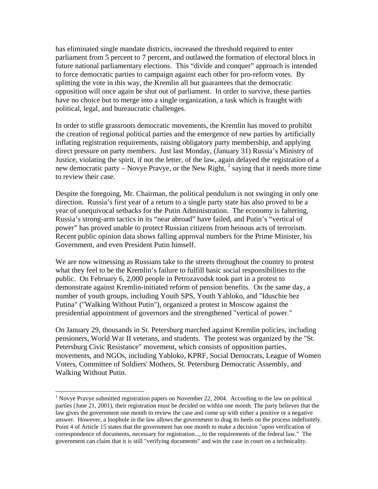has eliminated single mandate districts, increased the threshold required to enter parliament from 5 percent to 7 percent, and outlawed the formation of electoral blocs in future national parliamentary elections. This "divide and conquer" approach is intended to force democratic parties to campaign against each other for pro-reform votes. By splitting the vote in this way, the Kremlin all but guarantees that the democratic opposition will once again be shut out of parliament. In order to survive, these parties have no choice but to merge into a single organization, a task which is fraught with political, legal, and bureaucratic challenges.

In order to stifle grassroots democratic movements, the Kremlin has moved to prohibit the creation of regional political parties and the emergence of new parties by artificially inflating registration requirements, raising obligatory party membership, and applying direct pressure on party members. Just last Monday, (January 31) Russia's Ministry of Justice, violating the spirit, if not the letter, of the law, again delayed the registration of a newdemocratic party – Novye Pravye, or the New Right,  $\frac{1}{1}$  saying that it needs more time to review their case.

Despite the foregoing, Mr. Chairman, the political pendulum is not swinging in only one direction. Russia's first year of a return to a single party state has also proved to be a year of unequivocal setbacks for the Putin Administration. The economy is faltering, Russia's strong-arm tactics in its "near abroad" have failed, and Putin's "vertical of power" has proved unable to protect Russian citizens from heinous acts of terrorism. Recent public opinion data shows falling approval numbers for the Prime Minister, his Government, and even President Putin himself.

We are now witnessing as Russians take to the streets throughout the country to protest what they feel to be the Kremlin's failure to fulfill basic social responsibilities to the public. On February 6, 2,000 people in Petrozavodsk took part in a protest to demonstrate against Kremlin-initiated reform of pension benefits. On the same day, a number of youth groups, including Youth SPS, Youth Yabloko, and "Iduschie bez Putina" ("Walking Without Putin"), organized a protest in Moscow against the presidential appointment of governors and the strengthened "vertical of power."

On January 29, thousands in St. Petersburg marched against Kremlin policies, including pensioners, World War II veterans, and students. The protest was organized by the "St. Petersburg Civic Resistance" movement, which consists of opposition parties, movements, and NGOs, including Yabloko, KPRF, Social Democrats, League of Women Voters, Committee of Soldiers' Mothers, St. Petersburg Democratic Assembly, and Walking Without Putin.

<u>.</u>

<span id="page-1-0"></span><sup>&</sup>lt;sup>1</sup> Novye Pravye submitted registration papers on November 22, 2004. According to the law on political parties (June 21, 2001), their registration must be decided on within one month. The party believes that the law gives the government one month to review the case and come up with either a positive or a negative answer. However, a loophole in the law allows the government to drag its heels on the process indefinitely. Point 4 of Article 15 states that the government has one month to make a decision "upon verification of correspondence of documents, necessary for registration..., to the requirements of the federal law." The government can claim that it is still "verifying documents" and win the case in court on a technicality.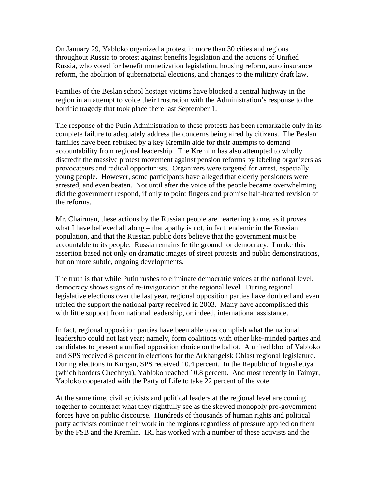On January 29, Yabloko organized a protest in more than 30 cities and regions throughout Russia to protest against benefits legislation and the actions of Unified Russia, who voted for benefit monetization legislation, housing reform, auto insurance reform, the abolition of gubernatorial elections, and changes to the military draft law.

Families of the Beslan school hostage victims have blocked a central highway in the region in an attempt to voice their frustration with the Administration's response to the horrific tragedy that took place there last September 1.

The response of the Putin Administration to these protests has been remarkable only in its complete failure to adequately address the concerns being aired by citizens. The Beslan families have been rebuked by a key Kremlin aide for their attempts to demand accountability from regional leadership. The Kremlin has also attempted to wholly discredit the massive protest movement against pension reforms by labeling organizers as provocateurs and radical opportunists. Organizers were targeted for arrest, especially young people. However, some participants have alleged that elderly pensioners were arrested, and even beaten. Not until after the voice of the people became overwhelming did the government respond, if only to point fingers and promise half-hearted revision of the reforms.

Mr. Chairman, these actions by the Russian people are heartening to me, as it proves what I have believed all along – that apathy is not, in fact, endemic in the Russian population, and that the Russian public does believe that the government must be accountable to its people. Russia remains fertile ground for democracy. I make this assertion based not only on dramatic images of street protests and public demonstrations, but on more subtle, ongoing developments.

The truth is that while Putin rushes to eliminate democratic voices at the national level, democracy shows signs of re-invigoration at the regional level. During regional legislative elections over the last year, regional opposition parties have doubled and even tripled the support the national party received in 2003. Many have accomplished this with little support from national leadership, or indeed, international assistance.

In fact, regional opposition parties have been able to accomplish what the national leadership could not last year; namely, form coalitions with other like-minded parties and candidates to present a unified opposition choice on the ballot. A united bloc of Yabloko and SPS received 8 percent in elections for the Arkhangelsk Oblast regional legislature. During elections in Kurgan, SPS received 10.4 percent. In the Republic of Ingushetiya (which borders Chechnya), Yabloko reached 10.8 percent. And most recently in Taimyr, Yabloko cooperated with the Party of Life to take 22 percent of the vote.

At the same time, civil activists and political leaders at the regional level are coming together to counteract what they rightfully see as the skewed monopoly pro-government forces have on public discourse. Hundreds of thousands of human rights and political party activists continue their work in the regions regardless of pressure applied on them by the FSB and the Kremlin. IRI has worked with a number of these activists and the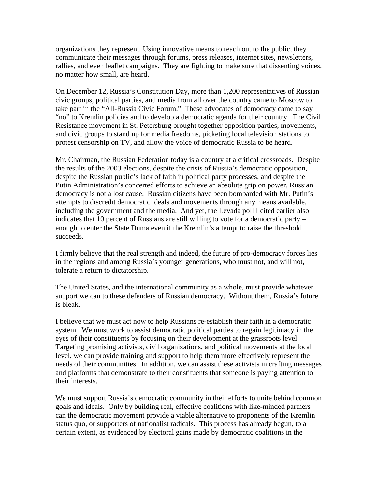organizations they represent. Using innovative means to reach out to the public, they communicate their messages through forums, press releases, internet sites, newsletters, rallies, and even leaflet campaigns. They are fighting to make sure that dissenting voices, no matter how small, are heard.

On December 12, Russia's Constitution Day, more than 1,200 representatives of Russian civic groups, political parties, and media from all over the country came to Moscow to take part in the "All-Russia Civic Forum." These advocates of democracy came to say "no" to Kremlin policies and to develop a democratic agenda for their country. The Civil Resistance movement in St. Petersburg brought together opposition parties, movements, and civic groups to stand up for media freedoms, picketing local television stations to protest censorship on TV, and allow the voice of democratic Russia to be heard.

Mr. Chairman, the Russian Federation today is a country at a critical crossroads. Despite the results of the 2003 elections, despite the crisis of Russia's democratic opposition, despite the Russian public's lack of faith in political party processes, and despite the Putin Administration's concerted efforts to achieve an absolute grip on power, Russian democracy is not a lost cause. Russian citizens have been bombarded with Mr. Putin's attempts to discredit democratic ideals and movements through any means available, including the government and the media. And yet, the Levada poll I cited earlier also indicates that 10 percent of Russians are still willing to vote for a democratic party – enough to enter the State Duma even if the Kremlin's attempt to raise the threshold succeeds.

I firmly believe that the real strength and indeed, the future of pro-democracy forces lies in the regions and among Russia's younger generations, who must not, and will not, tolerate a return to dictatorship.

The United States, and the international community as a whole, must provide whatever support we can to these defenders of Russian democracy. Without them, Russia's future is bleak.

I believe that we must act now to help Russians re-establish their faith in a democratic system. We must work to assist democratic political parties to regain legitimacy in the eyes of their constituents by focusing on their development at the grassroots level. Targeting promising activists, civil organizations, and political movements at the local level, we can provide training and support to help them more effectively represent the needs of their communities. In addition, we can assist these activists in crafting messages and platforms that demonstrate to their constituents that someone is paying attention to their interests.

We must support Russia's democratic community in their efforts to unite behind common goals and ideals. Only by building real, effective coalitions with like-minded partners can the democratic movement provide a viable alternative to proponents of the Kremlin status quo, or supporters of nationalist radicals. This process has already begun, to a certain extent, as evidenced by electoral gains made by democratic coalitions in the